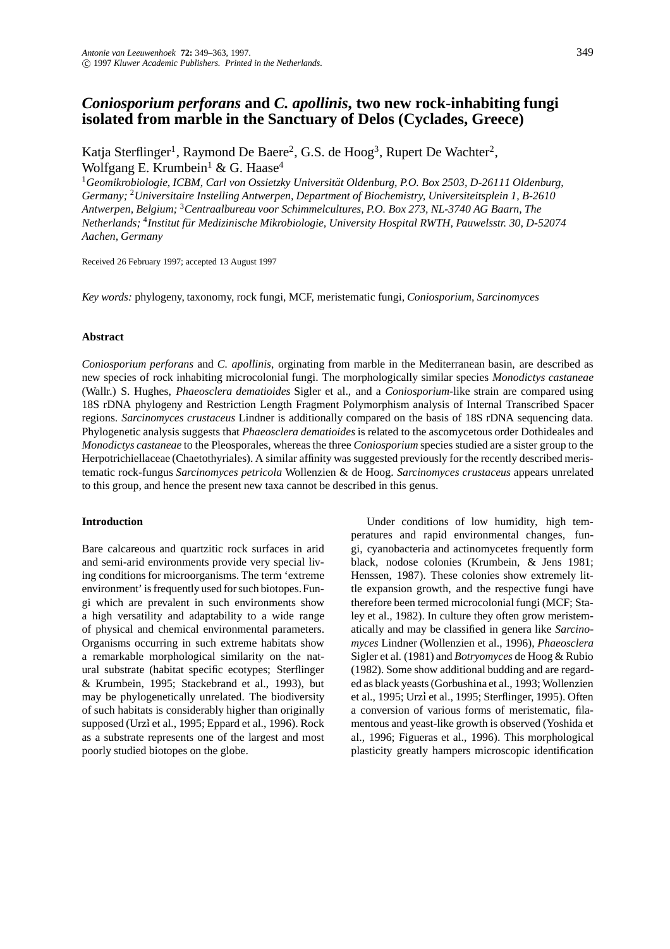# *Coniosporium perforans* **and** *C. apollinis***, two new rock-inhabiting fungi isolated from marble in the Sanctuary of Delos (Cyclades, Greece)**

Katja Sterflinger<sup>1</sup>, Raymond De Baere<sup>2</sup>, G.S. de Hoog<sup>3</sup>, Rupert De Wachter<sup>2</sup>, Wolfgang E. Krumbein<sup>1</sup> & G. Haase<sup>4</sup>

<sup>1</sup>*Geomikrobiologie, ICBM, Carl von Ossietzky Universitat Oldenburg, P.O. Box 2503, D-26111 Oldenburg, ¨ Germany;* <sup>2</sup>*Universitaire Instelling Antwerpen, Department of Biochemistry, Universiteitsplein 1, B-2610 Antwerpen, Belgium;* <sup>3</sup>*Centraalbureau voor Schimmelcultures, P.O. Box 273, NL-3740 AG Baarn, The Netherlands;* <sup>4</sup>*Institut fur Medizinische Mikrobiologie, University Hospital RWTH, Pauwelsstr. 30, D-52074 ¨ Aachen, Germany*

Received 26 February 1997; accepted 13 August 1997

*Key words:* phylogeny, taxonomy, rock fungi, MCF, meristematic fungi, *Coniosporium*, *Sarcinomyces*

#### **Abstract**

*Coniosporium perforans* and *C. apollinis*, orginating from marble in the Mediterranean basin, are described as new species of rock inhabiting microcolonial fungi. The morphologically similar species *Monodictys castaneae* (Wallr.) S. Hughes, *Phaeosclera dematioides* Sigler et al., and a *Coniosporium*-like strain are compared using 18S rDNA phylogeny and Restriction Length Fragment Polymorphism analysis of Internal Transcribed Spacer regions. *Sarcinomyces crustaceus* Lindner is additionally compared on the basis of 18S rDNA sequencing data. Phylogenetic analysis suggests that *Phaeosclera dematioides* is related to the ascomycetous order Dothideales and *Monodictys castaneae* to the Pleosporales, whereas the three *Coniosporium* species studied are a sister group to the Herpotrichiellaceae (Chaetothyriales). A similar affinity was suggested previously for the recently described meristematic rock-fungus *Sarcinomyces petricola* Wollenzien & de Hoog. *Sarcinomyces crustaceus* appears unrelated to this group, and hence the present new taxa cannot be described in this genus.

#### **Introduction**

Bare calcareous and quartzitic rock surfaces in arid and semi-arid environments provide very special living conditions for microorganisms. The term 'extreme environment' is frequently used for such biotopes.Fungi which are prevalent in such environments show a high versatility and adaptability to a wide range of physical and chemical environmental parameters. Organisms occurring in such extreme habitats show a remarkable morphological similarity on the natural substrate (habitat specific ecotypes; Sterflinger & Krumbein, 1995; Stackebrand et al., 1993), but may be phylogenetically unrelated. The biodiversity of such habitats is considerably higher than originally supposed (Urzì et al., 1995; Eppard et al., 1996). Rock as a substrate represents one of the largest and most poorly studied biotopes on the globe.

Under conditions of low humidity, high temperatures and rapid environmental changes, fungi, cyanobacteria and actinomycetes frequently form black, nodose colonies (Krumbein, & Jens 1981; Henssen, 1987). These colonies show extremely little expansion growth, and the respective fungi have therefore been termed microcolonial fungi (MCF; Staley et al., 1982). In culture they often grow meristematically and may be classified in genera like *Sarcinomyces* Lindner (Wollenzien et al., 1996), *Phaeosclera* Sigler et al. (1981) and *Botryomyces* de Hoog & Rubio (1982). Some show additional budding and are regarded as black yeasts (Gorbushina et al., 1993; Wollenzien et al., 1995; Urz`i et al., 1995; Sterflinger, 1995). Often a conversion of various forms of meristematic, filamentous and yeast-like growth is observed (Yoshida et al., 1996; Figueras et al., 1996). This morphological plasticity greatly hampers microscopic identification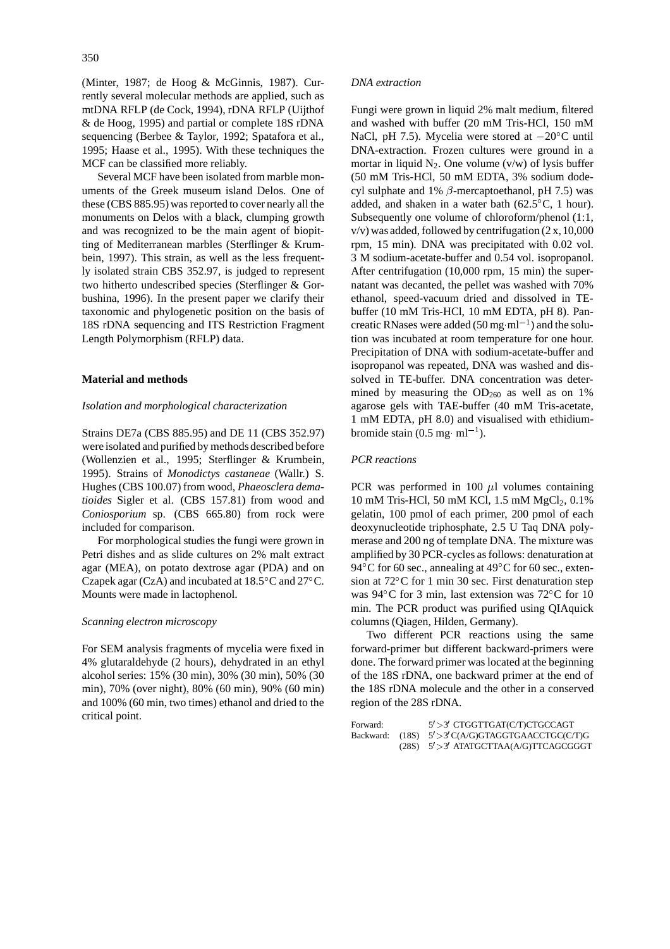(Minter, 1987; de Hoog & McGinnis, 1987). Currently several molecular methods are applied, such as mtDNA RFLP (de Cock, 1994), rDNA RFLP (Uijthof & de Hoog, 1995) and partial or complete 18S rDNA sequencing (Berbee & Taylor, 1992; Spatafora et al., 1995; Haase et al., 1995). With these techniques the MCF can be classified more reliably.

Several MCF have been isolated from marble monuments of the Greek museum island Delos. One of these (CBS 885.95) was reported to cover nearly all the monuments on Delos with a black, clumping growth and was recognized to be the main agent of biopitting of Mediterranean marbles (Sterflinger & Krumbein, 1997). This strain, as well as the less frequently isolated strain CBS 352.97, is judged to represent two hitherto undescribed species (Sterflinger & Gorbushina, 1996). In the present paper we clarify their taxonomic and phylogenetic position on the basis of 18S rDNA sequencing and ITS Restriction Fragment Length Polymorphism (RFLP) data.

#### **Material and methods**

#### *Isolation and morphological characterization*

Strains DE7a (CBS 885.95) and DE 11 (CBS 352.97) were isolated and purified by methods described before (Wollenzien et al., 1995; Sterflinger & Krumbein, 1995). Strains of *Monodictys castaneae* (Wallr.) S. Hughes (CBS 100.07) from wood, *Phaeosclera dematioides* Sigler et al. (CBS 157.81) from wood and *Coniosporium* sp. (CBS 665.80) from rock were included for comparison.

For morphological studies the fungi were grown in Petri dishes and as slide cultures on 2% malt extract agar (MEA), on potato dextrose agar (PDA) and on Czapek agar (CzA) and incubated at 18.5 C and 27 C. Mounts were made in lactophenol.

#### *Scanning electron microscopy*

For SEM analysis fragments of mycelia were fixed in 4% glutaraldehyde (2 hours), dehydrated in an ethyl alcohol series: 15% (30 min), 30% (30 min), 50% (30 min), 70% (over night), 80% (60 min), 90% (60 min) and 100% (60 min, two times) ethanol and dried to the critical point.

# *DNA extraction*

Fungi were grown in liquid 2% malt medium, filtered and washed with buffer (20 mM Tris-HCl, 150 mM NaCl, pH 7.5). Mycelia were stored at  $-20^{\circ}$ C until DNA-extraction. Frozen cultures were ground in a mortar in liquid  $N_2$ . One volume (v/w) of lysis buffer (50 mM Tris-HCl, 50 mM EDTA, 3% sodium dodecyl sulphate and 1%  $\beta$ -mercaptoethanol, pH 7.5) was added, and shaken in a water bath (62.5 C, 1 hour). Subsequently one volume of chloroform/phenol (1:1,  $v/v$ ) was added, followed by centrifugation (2 x, 10,000 rpm, 15 min). DNA was precipitated with 0.02 vol. 3 M sodium-acetate-buffer and 0.54 vol. isopropanol. After centrifugation (10,000 rpm, 15 min) the supernatant was decanted, the pellet was washed with 70% ethanol, speed-vacuum dried and dissolved in TEbuffer (10 mM Tris-HCl, 10 mM EDTA, pH 8). Pancreatic RNases were added (50 mg  $ml^{-1}$ ) and the solution was incubated at room temperature for one hour. Precipitation of DNA with sodium-acetate-buffer and isopropanol was repeated, DNA was washed and dissolved in TE-buffer. DNA concentration was determined by measuring the  $OD_{260}$  as well as on 1% agarose gels with TAE-buffer (40 mM Tris-acetate, 1 mM EDTA, pH 8.0) and visualised with ethidiumbromide stain  $(0.5 \text{ mg} \text{ ml}^{-1})$ .

#### *PCR reactions*

PCR was performed in 100  $\mu$ l volumes containing 10 mM Tris-HCl, 50 mM KCl, 1.5 mM MgCl<sub>2</sub>, 0.1% gelatin, 100 pmol of each primer, 200 pmol of each deoxynucleotide triphosphate, 2.5 U Taq DNA polymerase and 200 ng of template DNA. The mixture was amplified by 30 PCR-cycles as follows: denaturation at 94 C for 60 sec., annealing at 49 C for 60 sec., extension at 72 C for 1 min 30 sec. First denaturation step was 94°C for 3 min, last extension was 72°C for 10 min. The PCR product was purified using QIAquick columns (Qiagen, Hilden, Germany).

Two different PCR reactions using the same forward-primer but different backward-primers were done. The forward primer was located at the beginning of the 18S rDNA, one backward primer at the end of the 18S rDNA molecule and the other in a conserved region of the 28S rDNA.

| Forward: | 5' > 3' CTGGTTGAT(C/T)CTGCCAGT                        |
|----------|-------------------------------------------------------|
|          | Backward: $(18S)$ $5' > 3'C(A/G)GTAGGTGAACCTGC(C/T)G$ |
|          | $(28S)$ $5' > 3'$ ATATGCTTAA(A/G)TTCAGCGGGT           |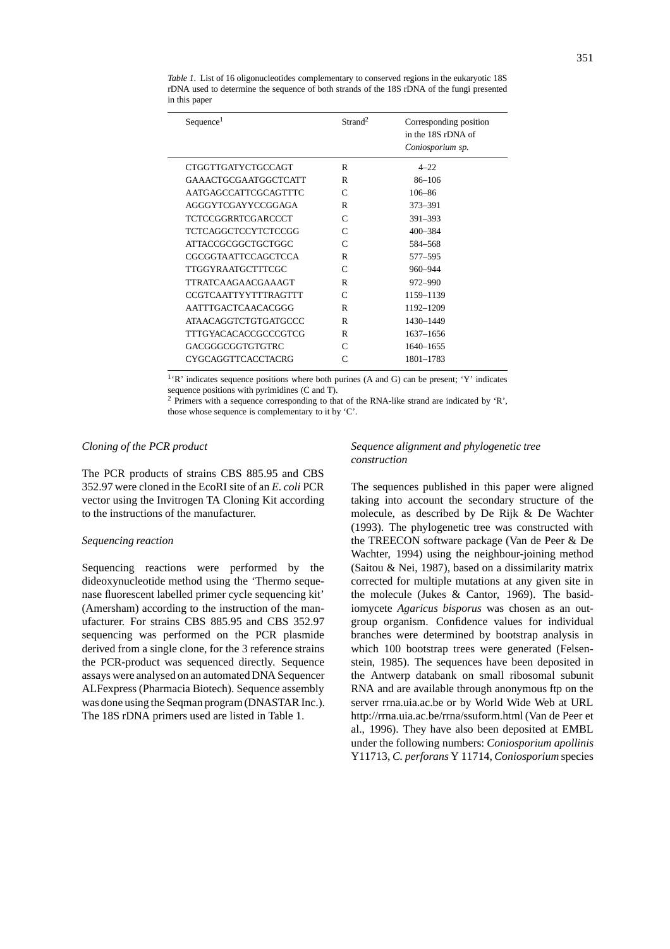| Sequence <sup>1</sup>        | Strand <sup>2</sup> | Corresponding position<br>in the 18S rDNA of<br>Coniosporium sp. |
|------------------------------|---------------------|------------------------------------------------------------------|
| CTGGTTGATYCTGCCAGT           | R                   | $4 - 22$                                                         |
| <b>GAAACTGCGAATGGCTCATT</b>  | R                   | $86 - 106$                                                       |
| AATGAGCCATTCGCAGTTTC         | $\mathsf{C}$        | $106 - 86$                                                       |
| AGGGYTCGAYYCCGGAGA           | R                   | 373-391                                                          |
| <b>TCTCCGGRRTCGARCCCT</b>    | $\mathcal{C}$       | 391-393                                                          |
| <b>TCTCAGGCTCCYTCTCCGG</b>   | $\mathcal{C}$       | $400 - 384$                                                      |
| <b>ATTACCGCGGCTGCTGGC</b>    | $\mathsf{C}$        | 584-568                                                          |
| CGCGGTA ATTCCAGCTCCA         | R                   | 577–595                                                          |
| <b>TTGGYRAATGCTTTCGC</b>     | $\mathsf{C}$        | 960-944                                                          |
| <b>TTRATCAAGAACGAAAGT</b>    | R                   | 972-990                                                          |
| <b>CCGTCA ATTYYTTTRAGTTT</b> | C                   | 1159-1139                                                        |
| AATTTGACTCAACACGGG           | R                   | 1192-1209                                                        |
| <b>ATAACAGGTCTGTGATGCCC</b>  | R                   | 1430-1449                                                        |
| TTTGYACACACCGCCCGTCG         | R                   | 1637-1656                                                        |
| GACGGGCGGTGTGTRC             | $\mathsf{C}$        | 1640-1655                                                        |
| CYGCAGGTTCACCTACRG           | $\subset$           | 1801-1783                                                        |
|                              |                     |                                                                  |

*Table 1*. List of 16 oligonucleotides complementary to conserved regions in the eukaryotic 18S rDNA used to determine the sequence of both strands of the 18S rDNA of the fungi presented in this paper

1'R' indicates sequence positions where both purines (A and G) can be present; 'Y' indicates sequence positions with pyrimidines (C and T).

<sup>2</sup> Primers with a sequence corresponding to that of the RNA-like strand are indicated by 'R', those whose sequence is complementary to it by 'C'.

# *Cloning of the PCR product*

The PCR products of strains CBS 885.95 and CBS 352.97 were cloned in the EcoRI site of an *E. coli* PCR vector using the Invitrogen TA Cloning Kit according to the instructions of the manufacturer.

#### *Sequencing reaction*

Sequencing reactions were performed by the dideoxynucleotide method using the 'Thermo sequenase fluorescent labelled primer cycle sequencing kit' (Amersham) according to the instruction of the manufacturer. For strains CBS 885.95 and CBS 352.97 sequencing was performed on the PCR plasmide derived from a single clone, for the 3 reference strains the PCR-product was sequenced directly. Sequence assays were analysed on an automated DNA Sequencer ALFexpress (Pharmacia Biotech). Sequence assembly was done using the Seqman program (DNASTAR Inc.). The 18S rDNA primers used are listed in Table 1.

# *Sequence alignment and phylogenetic tree construction*

The sequences published in this paper were aligned taking into account the secondary structure of the molecule, as described by De Rijk & De Wachter (1993). The phylogenetic tree was constructed with the TREECON software package (Van de Peer & De Wachter, 1994) using the neighbour-joining method (Saitou & Nei, 1987), based on a dissimilarity matrix corrected for multiple mutations at any given site in the molecule (Jukes & Cantor, 1969). The basidiomycete *Agaricus bisporus* was chosen as an outgroup organism. Confidence values for individual branches were determined by bootstrap analysis in which 100 bootstrap trees were generated (Felsenstein, 1985). The sequences have been deposited in the Antwerp databank on small ribosomal subunit RNA and are available through anonymous ftp on the server rrna.uia.ac.be or by World Wide Web at URL http://rrna.uia.ac.be/rrna/ssuform.html (Van de Peer et al., 1996). They have also been deposited at EMBL under the following numbers: *Coniosporium apollinis* Y11713, *C. perforans* Y 11714, *Coniosporium* species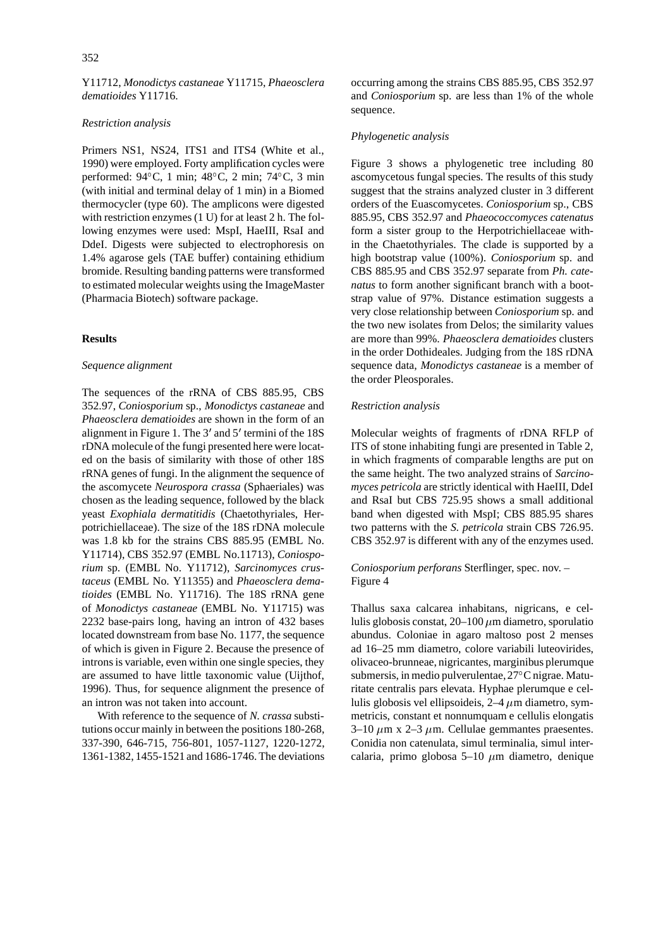Y11712, *Monodictys castaneae* Y11715, *Phaeosclera dematioides* Y11716.

#### *Restriction analysis*

Primers NS1, NS24, ITS1 and ITS4 (White et al., 1990) were employed. Forty amplification cycles were performed: 94 C, 1 min; 48 C, 2 min; 74 C, 3 min (with initial and terminal delay of 1 min) in a Biomed thermocycler (type 60). The amplicons were digested with restriction enzymes (1 U) for at least 2 h. The following enzymes were used: MspI, HaeIII, RsaI and DdeI. Digests were subjected to electrophoresis on 1.4% agarose gels (TAE buffer) containing ethidium bromide. Resulting banding patterns were transformed to estimated molecular weights using the ImageMaster (Pharmacia Biotech) software package.

# **Results**

#### *Sequence alignment*

The sequences of the rRNA of CBS 885.95, CBS 352.97, *Coniosporium* sp., *Monodictys castaneae* and *Phaeosclera dematioides* are shown in the form of an alignment in Figure 1. The  $3'$  and  $5'$  termini of the 18S rDNA molecule of the fungi presented here were located on the basis of similarity with those of other 18S rRNA genes of fungi. In the alignment the sequence of the ascomycete *Neurospora crassa* (Sphaeriales) was chosen as the leading sequence, followed by the black yeast *Exophiala dermatitidis* (Chaetothyriales, Herpotrichiellaceae). The size of the 18S rDNA molecule was 1.8 kb for the strains CBS 885.95 (EMBL No. Y11714), CBS 352.97 (EMBL No.11713), *Coniosporium* sp. (EMBL No. Y11712), *Sarcinomyces crustaceus* (EMBL No. Y11355) and *Phaeosclera dematioides* (EMBL No. Y11716). The 18S rRNA gene of *Monodictys castaneae* (EMBL No. Y11715) was 2232 base-pairs long, having an intron of 432 bases located downstream from base No. 1177, the sequence of which is given in Figure 2. Because the presence of introns is variable, even within one single species, they are assumed to have little taxonomic value (Uijthof, 1996). Thus, for sequence alignment the presence of an intron was not taken into account.

With reference to the sequence of *N. crassa* substitutions occur mainly in between the positions 180-268, 337-390, 646-715, 756-801, 1057-1127, 1220-1272, 1361-1382, 1455-1521 and 1686-1746. The deviations occurring among the strains CBS 885.95, CBS 352.97 and *Coniosporium* sp. are less than 1% of the whole sequence.

#### *Phylogenetic analysis*

Figure 3 shows a phylogenetic tree including 80 ascomycetous fungal species. The results of this study suggest that the strains analyzed cluster in 3 different orders of the Euascomycetes. *Coniosporium* sp., CBS 885.95, CBS 352.97 and *Phaeococcomyces catenatus* form a sister group to the Herpotrichiellaceae within the Chaetothyriales. The clade is supported by a high bootstrap value (100%). *Coniosporium* sp. and CBS 885.95 and CBS 352.97 separate from *Ph. catenatus* to form another significant branch with a bootstrap value of 97%. Distance estimation suggests a very close relationship between *Coniosporium* sp. and the two new isolates from Delos; the similarity values are more than 99%. *Phaeosclera dematioides* clusters in the order Dothideales. Judging from the 18S rDNA sequence data, *Monodictys castaneae* is a member of the order Pleosporales.

#### *Restriction analysis*

Molecular weights of fragments of rDNA RFLP of ITS of stone inhabiting fungi are presented in Table 2, in which fragments of comparable lengths are put on the same height. The two analyzed strains of *Sarcinomyces petricola* are strictly identical with HaeIII, DdeI and RsaI but CBS 725.95 shows a small additional band when digested with MspI; CBS 885.95 shares two patterns with the *S. petricola* strain CBS 726.95. CBS 352.97 is different with any of the enzymes used.

### *Coniosporium perforans* Sterflinger, spec. nov. – Figure 4

Thallus saxa calcarea inhabitans, nigricans, e cellulis globosis constat,  $20-100 \mu m$  diametro, sporulatio abundus. Coloniae in agaro maltoso post 2 menses ad 16–25 mm diametro, colore variabili luteovirides, olivaceo-brunneae, nigricantes, marginibus plerumque submersis, in medio pulverulentae,27 C nigrae. Maturitate centralis pars elevata. Hyphae plerumque e cellulis globosis vel ellipsoideis,  $2-4 \mu m$  diametro, symmetricis, constant et nonnumquam e cellulis elongatis 3–10  $\mu$ m x 2–3  $\mu$ m. Cellulae gemmantes praesentes. Conidia non catenulata, simul terminalia, simul intercalaria, primo globosa 5–10  $\mu$ m diametro, denique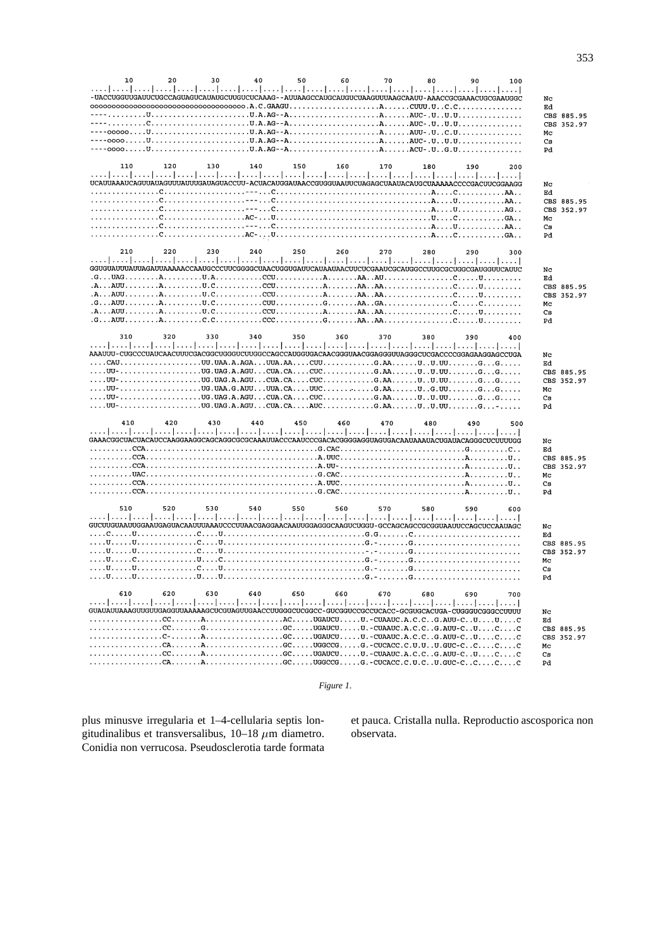| 20<br>50<br>10<br>30<br>40<br>60<br>70<br>80<br>90<br>100<br>-UACCUGGUUGAUUCUGCCAGUAGUCAUAUGCUUGUCUCAAAG - - AUUAAGCCAUGCAUGUCUAAGUUUAAGCAAUU - AAACCGCGAAACUGCGAAUGGC                                                                                                                                                                                                                                                                                                                                                                                                                                                                                                                                                                                                                                                                                                                                                                                                                                                                                                                                                                                                       | Nc<br>Ed<br>CBS 885.95<br>352.97<br>CBS<br>Mc<br>Cs<br>Pd        |
|------------------------------------------------------------------------------------------------------------------------------------------------------------------------------------------------------------------------------------------------------------------------------------------------------------------------------------------------------------------------------------------------------------------------------------------------------------------------------------------------------------------------------------------------------------------------------------------------------------------------------------------------------------------------------------------------------------------------------------------------------------------------------------------------------------------------------------------------------------------------------------------------------------------------------------------------------------------------------------------------------------------------------------------------------------------------------------------------------------------------------------------------------------------------------|------------------------------------------------------------------|
| 110<br>120<br>130<br>140<br>150<br>160<br>170<br>180<br>190<br>200<br>إعتبار ببيرا ببيرا ببيرا ببيرا ببيرا ببيرا ببيرا ببيرا ببيرا ببيرا ببيرا ببيرا ببيرا ببيرا ببيرا ببيرا ببيرا ببير<br>UCAUUAAAUCAGUUAUAGUUUAUUGAUAGUACCUU-ACUACAUGGAUAACCGUGGUAAUUCUAGAGCUAAUACAUGCUAAAAACCCCGACUUCGGAAGG                                                                                                                                                                                                                                                                                                                                                                                                                                                                                                                                                                                                                                                                                                                                                                                                                                                                               | NC<br>Ed<br>CBS 885.95<br>CBS 352.97<br>Mc<br>Cs<br>Pd           |
| 210<br>220<br>230<br>240<br>250<br>260<br>270<br>280<br>290<br>300<br>إعتبار ببيرا ببيرا ببيرا ببيرا ببيرا ببيرا ببيرا ببيرا ببيرا ببيرا ببيرا ببيرا ببيرا ببيرا ببيرا ببيرا ببيرا ببير<br>GGUGUAUUUAUUAGAUUAAAAACCAAUGCCCUUCGGGGCUAACUGGUGAUUCAUAAUAACUUCUCGAAUCGCAUGGCCUUGCGCUGGCGAUGGUUCAUUC<br>$G\dots UAG\dots \dots A\dots \dots \dots U.A\dots \dots \dots CCU\dots \dots \dots A\dots \dots AA\dots AU\dots \dots \dots \dots \dots \dots C\dots \dots U\dots \dots \dots$<br>$G_1, \ldots$ AUU $\ldots, \ldots, A, \ldots, \ldots, U, C, \ldots, \ldots, C$ UU $\ldots, \ldots, G, \ldots, A$ A $\ldots, A$ A $\ldots, A$ a $\ldots, \ldots, \ldots, C, \ldots, C, \ldots, C, \ldots, \ldots, C,$<br>$G \ldots \text{AUU} \ldots \ldots \ldots \text{A} \ldots \ldots \text{C.C} \ldots \ldots \ldots \text{CCC} \ldots \ldots \ldots \text{G} \ldots \text{A}\text{A} \ldots \text{A}\text{A} \ldots \ldots \ldots \text{C} \ldots \ldots \text{C} \ldots \text{U} \ldots \text{C} \ldots \text{C} \ldots \text{C} \text{A} \ldots \text{A} \text{A} \ldots \text{A} \text{A} \ldots \text{A} \text{A} \ldots \text{A} \text{A} \ldots \text{A} \text{A} \ldots \$ | Nc<br>Ed<br>CBS 885.95<br>352.97<br>CBS<br>Mc<br>Cs<br>Pd        |
| 340<br>310<br>320<br>330<br>350<br>360<br>370<br>380<br>390<br>400<br>$\ldots$ . UU- $\ldots$ $\ldots$ $\ldots$ $\ldots$ . UG. UAG. A. AGU $\ldots$ CUA. CA. $\ldots$ . CUC $\ldots$ $\ldots$ . G. AA. $\ldots$ . U. UU. $\ldots$ . $\ldots$ . $\ldots$ . $\ldots$<br>$\ldots$ , $\mathtt{UU}$ - $\ldots$ $\ldots$ $\ldots$ $\ldots$ . UG. UAG . A . AGU $\ldots$ CUA . CA $\ldots$ . CUC $\ldots$ $\ldots$ . G. AA $\ldots$ . $\mathtt{U}$ . $\mathtt{U}$ . $\ldots$ . $\mathtt{G}$ . $\ldots$ . $\mathtt{G}$ . $\ldots$ .<br>$\ldots$ , $UU$ - $\ldots$ . $\ldots$ . $\ldots$ . $\ldots$ . $\ldots$ $\ldots$ $\ldots$ $\ldots$ . $\ldots$ $\ldots$ . $\ldots$ $\ldots$ $\ldots$ $\ldots$ $\ldots$ $\ldots$ $\ldots$ $\ldots$ $\ldots$ $\ldots$ $\ldots$ $\ldots$ $\ldots$ $\ldots$ $\ldots$ $\ldots$ $\ldots$ $\ldots$ $\ldots$ $\ldots$ $\ldots$ $\ldots$ $\ld$                                                                                                                                                                                                                                                                                                           | Nc<br>Еd<br>CBS 885.95<br>CBS 352.97<br>Mс<br>Cs<br>Pd           |
| 410<br>420<br>430<br>440<br>450<br>460<br>470<br>480<br>490<br>500<br>المنطو المتطوي المتماوية والمتمرا ومتمل والمتمرا ومتماويته المتمر المتمر المتمر المتمر المتمر المتمر المتمر المتمر                                                                                                                                                                                                                                                                                                                                                                                                                                                                                                                                                                                                                                                                                                                                                                                                                                                                                                                                                                                     | Nc<br>Ed<br>CBS 885.95<br>CBS 352.97<br>Mc<br>Cs<br>Pd           |
| 510<br>520<br>530<br>540<br>550<br>560<br>570<br>580<br>590<br>600<br>المتما المتما المتما المتما المتما المتما المتما المتما المتما المتما للمتما للمتما للمتما للمتما المتما المتم<br>GUCUUGUAAUUGGAAUGAGUACAAUUUAAAUCCCUUAACGAGGAACAAUUGGAGGGAAGUCUGGU-GCCAGCAGCCGCGGUAAUUCCAGCUCCAAUAGC                                                                                                                                                                                                                                                                                                                                                                                                                                                                                                                                                                                                                                                                                                                                                                                                                                                                                  | Nc<br>Ed<br>CBS 885.95<br><b>CBS</b><br>352.97<br>Mс<br>Cs<br>Pd |
| 630<br>610<br>620<br>640<br>650<br>660<br>670<br>680<br>690<br>700<br>المتما المتما المتمرا للمسا والمتمرا للمسا والمتمرا للمسا وللمسا للمسا وللمسا للمسا للمسا للمسا المسارات<br>GUAUAUUAAAGUUGUUGAGGUUAAAAAGCUCGUAGUUGAACCUUGGGCUCGGCC-GUCGGUCCGCCUCACC-GCGUGCACUGA-CUGGGUCGGGCCUUUU<br>$\ldots \ldots \ldots \ldots \ldots$ . CC. $\ldots \ldots$ G. $\ldots \ldots \ldots \ldots$ . GC. $\ldots \ldots$ UGAUCU $\ldots \ldots$ U. - CUAAUC $\ldots$ A. C. C. . G. AUU-C. . U. C. C<br>$\ldots \ldots \ldots \ldots \ldots$ . $\vdots \ldots \ldots$ $\ldots \ldots \ldots \ldots \ldots \ldots \ldots \ldots \ldots$ . $\vdots$ . $\vdots$ . $\vdots$ . $\vdots$ . $\vdots$ . $\vdots$ . $\vdots$ . $\vdots$ . $\ldots \ldots$ . $\ldots$ . $\vdots$<br>$\dots\dots\dots\dots\dots\dots\dots A\dots\dots\dots\dots\dots\dots\cdot G\dots\dots G$ and $G$ and $G$ and $G$ and $G$ and $G$ and $G$ and $G$ and $G$ and $G$ and $G$ and $G$ and $G$ and $G$ and $G$ and $G$ and $G$ and $G$ and $G$ and $G$ and $G$ and $G$ and $G$ and $G$                                                                                                                                 | Nc<br>Ed<br>CBS 885.95<br>CBS 352.97<br>Mc<br>Сs<br>Pd           |

*Figure 1*.

plus minusve irregularia et 1–4-cellularia septis longitudinalibus et transversalibus,  $10-18 \mu m$  diametro. Conidia non verrucosa. Pseudosclerotia tarde formata et pauca. Cristalla nulla. Reproductio ascosporica non observata.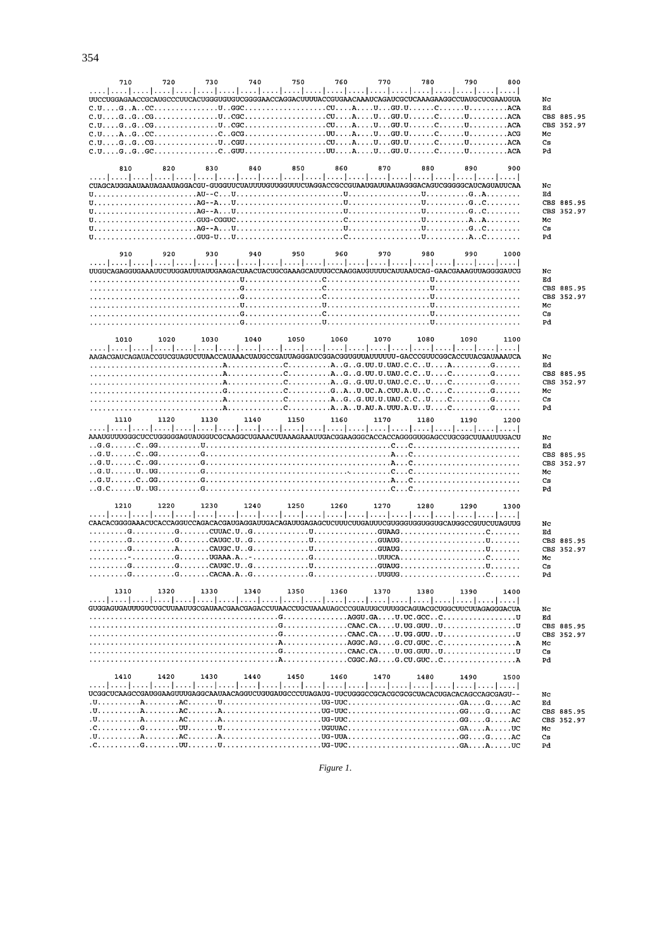| 710                                                                                                                                                                                                                                                                                                                                                                                                                                                                                  | 720  | 730  | 740  | 750  | 760  | 770  | 780  | 790  | 800  |            |                          |
|--------------------------------------------------------------------------------------------------------------------------------------------------------------------------------------------------------------------------------------------------------------------------------------------------------------------------------------------------------------------------------------------------------------------------------------------------------------------------------------|------|------|------|------|------|------|------|------|------|------------|--------------------------|
|                                                                                                                                                                                                                                                                                                                                                                                                                                                                                      |      |      |      |      |      |      |      |      |      |            |                          |
| UUCCUGGAGAACCGCAUGCCCUUCACUGGGUGUGUCGGGGAACCAGGACUUUUACCGUGAACAAAUCAGAUCGCUCAAAGAAGGCCUAUGCUCGAAUGUA                                                                                                                                                                                                                                                                                                                                                                                 |      |      |      |      |      |      |      |      |      | Nc<br>Ed   |                          |
|                                                                                                                                                                                                                                                                                                                                                                                                                                                                                      |      |      |      |      |      |      |      |      |      |            | CBS 885.95               |
| $C.U. \ldots G. \ldots G. \ldots G. \ldots \ldots \ldots \ldots U. \ldots G G. \ldots \ldots \ldots \ldots \ldots \ldots \ldots C U. \ldots A. \ldots U. \ldots G. \ldots C \ldots \ldots \ldots \ldots \ldots \ldots ACA$                                                                                                                                                                                                                                                           |      |      |      |      |      |      |      |      |      | <b>CBS</b> | 352.97                   |
| $C.U. \ldots A \ldots G. \ldots C. \ldots C \ldots C. \ldots G C G \ldots \ldots \ldots \ldots \ldots \ldots \ldots U \ldots A \ldots U \ldots C \ldots C \ldots C \ldots \ldots \ldots \ldots \ldots A C G$                                                                                                                                                                                                                                                                         |      |      |      |      |      |      |      |      |      | Mс         |                          |
| $C.U. \ldots G. \ldots G. \ldots U. \ldots U. \ldots G.U. \ldots \ldots \ldots \ldots \ldots \ldots U \ldots A \ldots U \ldots U \ldots G.U. \ldots \ldots C \ldots \ldots U \ldots \ldots \ldots U \ldots ACA$                                                                                                                                                                                                                                                                      |      |      |      |      |      |      |      |      |      | Cs         |                          |
|                                                                                                                                                                                                                                                                                                                                                                                                                                                                                      |      |      |      |      |      |      |      |      |      | Pd         |                          |
| 810                                                                                                                                                                                                                                                                                                                                                                                                                                                                                  | 820  | 830  | 840  | 850  | 860  | 870  | 880  | 890  | 900  |            |                          |
|                                                                                                                                                                                                                                                                                                                                                                                                                                                                                      |      |      |      |      |      |      |      |      |      |            |                          |
| CUAGCAUGGAAUAAUAGAAUAGGACGU-GUGGUUCUAUUUUGUUGGUUUCUAGGACCGCCGUAAUGAUUAAUAGGACAGUCGGGGCAUCAGUAUUCAA                                                                                                                                                                                                                                                                                                                                                                                   |      |      |      |      |      |      |      |      |      | Nc         |                          |
| $U_1, \ldots, \ldots, \ldots, \ldots, \ldots, \text{AU--C}$ $U_1, \ldots, \ldots, \ldots, \ldots, \ldots, \text{U}, \ldots, \ldots, \text{U}, \ldots, \ldots, \text{U}, \ldots, \ldots, \text{G}$ A                                                                                                                                                                                                                                                                                  |      |      |      |      |      |      |      |      |      | Ed         |                          |
| $\mathtt{U},\ldots,\ldots,\ldots,\ldots,\ldots,\ldots,\mathtt{AG-A},\ldots,\mathtt{U},\ldots,\ldots,\ldots,\mathtt{U},\ldots,\ldots,\ldots,\mathtt{U},\ldots,\ldots,\ldots,\ldots,\mathtt{G},\ldots,\ldots,\ldots,\mathtt{G},\ldots,\ldots,\mathtt{G},\ldots,\ldots,\mathtt{G},\ldots,\ldots,\mathtt{G},\ldots,\ldots,\mathtt{G},\ldots,\ldots,\mathtt{G},\ldots,\ldots,\mathtt{G},\ldots,\ldots,\mathtt{G},\ldots,\ldots,\mathtt{G},\ldots,\ldots,\mathtt{G},\ldots,\ldots,\mathtt$ |      |      |      |      |      |      |      |      |      |            | CBS 885.95<br>CBS 352.97 |
| $\mathtt{U},\ldots,\ldots,\ldots,\ldots,\ldots,\ldots,\mathtt{GUG\text{-}CGGUC},\ldots,\ldots,\ldots,\ldots,\ldots,\ldots,\mathtt{C},\ldots,\ldots,\ldots,\ldots,\mathtt{U},\ldots,\ldots,\ldots,\mathtt{A},\ldots,\ldots,\ldots,\ldots$                                                                                                                                                                                                                                             |      |      |      |      |      |      |      |      |      | Mc         |                          |
|                                                                                                                                                                                                                                                                                                                                                                                                                                                                                      |      |      |      |      |      |      |      |      |      | Cs         |                          |
|                                                                                                                                                                                                                                                                                                                                                                                                                                                                                      |      |      |      |      |      |      |      |      |      | Pd         |                          |
|                                                                                                                                                                                                                                                                                                                                                                                                                                                                                      |      |      |      |      |      |      |      |      |      |            |                          |
| 910                                                                                                                                                                                                                                                                                                                                                                                                                                                                                  | 920  | 930  | 940  | 950  | 960  | 970  | 980  | 990  | 1000 |            |                          |
|                                                                                                                                                                                                                                                                                                                                                                                                                                                                                      |      |      |      |      |      |      |      |      |      | Nc         |                          |
|                                                                                                                                                                                                                                                                                                                                                                                                                                                                                      |      |      |      |      |      |      |      |      |      | Еd         |                          |
|                                                                                                                                                                                                                                                                                                                                                                                                                                                                                      |      |      |      |      |      |      |      |      |      |            | CBS 885.95               |
|                                                                                                                                                                                                                                                                                                                                                                                                                                                                                      |      |      |      |      |      |      |      |      |      | CBS        | 352.97                   |
|                                                                                                                                                                                                                                                                                                                                                                                                                                                                                      |      |      |      |      |      |      |      |      |      | Mc<br>Cs   |                          |
|                                                                                                                                                                                                                                                                                                                                                                                                                                                                                      |      |      |      |      |      |      |      |      |      | Pd         |                          |
|                                                                                                                                                                                                                                                                                                                                                                                                                                                                                      |      |      |      |      |      |      |      |      |      |            |                          |
| 1010                                                                                                                                                                                                                                                                                                                                                                                                                                                                                 | 1020 | 1030 | 1040 | 1050 | 1060 | 1070 | 1080 | 1090 | 1100 |            |                          |
|                                                                                                                                                                                                                                                                                                                                                                                                                                                                                      |      |      |      |      |      |      |      |      |      |            |                          |
| AAGACGAUCAGAUACCGUCGUAGUCUUAACCAUAAACUAUGCCGAUUAGGGAUCGGACGGUGUUAUUUUUU - GACCCGUUCGGCACCUUACGAUAAAUCA                                                                                                                                                                                                                                                                                                                                                                               |      |      |      |      |      |      |      |      |      | Nc<br>Еd   |                          |
|                                                                                                                                                                                                                                                                                                                                                                                                                                                                                      |      |      |      |      |      |      |      |      |      |            | CBS 885.95               |
| $\ldots \ldots \ldots \ldots \ldots \ldots \ldots \ldots \ldots$ . A $\ldots \ldots \ldots \ldots \ldots \ldots \ldots$ . A $\ldots$ G $\ldots$ G $\ldots$ UU $\ldots$ UU $\ldots$ C $\ldots \ldots \ldots \ldots \ldots \ldots \ldots$                                                                                                                                                                                                                                              |      |      |      |      |      |      |      |      |      | CBS        | 352.97                   |
|                                                                                                                                                                                                                                                                                                                                                                                                                                                                                      |      |      |      |      |      |      |      |      |      | Mc         |                          |
|                                                                                                                                                                                                                                                                                                                                                                                                                                                                                      |      |      |      |      |      |      |      |      |      | Cs         |                          |
|                                                                                                                                                                                                                                                                                                                                                                                                                                                                                      |      |      |      |      |      |      |      |      |      | Pd         |                          |
| 1110                                                                                                                                                                                                                                                                                                                                                                                                                                                                                 | 1120 | 1130 | 1140 | 1150 | 1160 |      | 1180 | 1190 |      |            |                          |
|                                                                                                                                                                                                                                                                                                                                                                                                                                                                                      |      |      |      |      |      | 1170 |      |      | 1200 |            |                          |
| المتما يتنبأ يتنبأ يتنبأ يتنبأ يتنبأ يتنبأ يتنبأ يتنبأ يتنبأ ببنوا ببنا ويتبأ ببنوا يتنبأ يتنبأ يتنبأ يتنبأ ويب                                                                                                                                                                                                                                                                                                                                                                      |      |      |      |      |      |      |      |      |      |            |                          |
| AAAUGUUUGGGCUCCUGGGGAGUAUGUCGCAAGGCUGAAACUUAAAGAAAUUGACGGAAGGCACCACCAGGGGUGAGCCUGCGGCUUAAUUUGACU                                                                                                                                                                                                                                                                                                                                                                                     |      |      |      |      |      |      |      |      |      | Nc         |                          |
|                                                                                                                                                                                                                                                                                                                                                                                                                                                                                      |      |      |      |      |      |      |      |      |      | Ed         | CBS 885.95               |
|                                                                                                                                                                                                                                                                                                                                                                                                                                                                                      |      |      |      |      |      |      |      |      |      | CBS        | 352.97                   |
|                                                                                                                                                                                                                                                                                                                                                                                                                                                                                      |      |      |      |      |      |      |      |      |      | Mc         |                          |
|                                                                                                                                                                                                                                                                                                                                                                                                                                                                                      |      |      |      |      |      |      |      |      |      | Cs         |                          |
|                                                                                                                                                                                                                                                                                                                                                                                                                                                                                      |      |      |      |      |      |      |      |      |      | Pd         |                          |
| 1210                                                                                                                                                                                                                                                                                                                                                                                                                                                                                 | 1220 | 1230 | 1240 | 1250 | 1260 | 1270 | 1280 | 1290 | 1300 |            |                          |
| المتما وتتما وتتما وتنما وتنطر وتنطر وتنظر وتنطر وتنطر والمتما وتنطر وتتطرف والمتما وتمام والمنظر                                                                                                                                                                                                                                                                                                                                                                                    |      |      |      |      |      |      |      |      |      |            |                          |
|                                                                                                                                                                                                                                                                                                                                                                                                                                                                                      |      |      |      |      |      |      |      |      |      | Nc         |                          |
|                                                                                                                                                                                                                                                                                                                                                                                                                                                                                      |      |      |      |      |      |      |      |      |      | Ed         |                          |
|                                                                                                                                                                                                                                                                                                                                                                                                                                                                                      |      |      |      |      |      |      |      |      |      |            | CBS 885.95               |
|                                                                                                                                                                                                                                                                                                                                                                                                                                                                                      |      |      |      |      |      |      |      |      |      | Mc         | CBS 352.97               |
|                                                                                                                                                                                                                                                                                                                                                                                                                                                                                      |      |      |      |      |      |      |      |      |      | Cs         |                          |
|                                                                                                                                                                                                                                                                                                                                                                                                                                                                                      |      |      |      |      |      |      |      |      |      | Pd         |                          |
|                                                                                                                                                                                                                                                                                                                                                                                                                                                                                      |      |      |      |      |      |      |      |      |      |            |                          |
| 1310                                                                                                                                                                                                                                                                                                                                                                                                                                                                                 | 1320 | 1330 | 1340 | 1350 | 1360 | 1370 | 1380 | 1390 | 1400 |            |                          |
| GUGGAGUGAUUUGUCUGCUUAAUUGCGAUAACGAACGAGACCUUAACCUGCUAAAUAGCCCGUAUUGCUUUGGCAGUACGCUGGCUUCUUAGAGGGACUA                                                                                                                                                                                                                                                                                                                                                                                 |      |      |      |      |      |      |      |      |      | Nc         |                          |
|                                                                                                                                                                                                                                                                                                                                                                                                                                                                                      |      |      |      |      |      |      |      |      |      | Еd         |                          |
|                                                                                                                                                                                                                                                                                                                                                                                                                                                                                      |      |      |      |      |      |      |      |      |      |            | CBS 885.95               |
|                                                                                                                                                                                                                                                                                                                                                                                                                                                                                      |      |      |      |      |      |      |      |      |      |            | CBS 352.97               |
|                                                                                                                                                                                                                                                                                                                                                                                                                                                                                      |      |      |      |      |      |      |      |      |      | Mc         |                          |
|                                                                                                                                                                                                                                                                                                                                                                                                                                                                                      |      |      |      |      |      |      |      |      |      | Cs<br>Pd   |                          |
|                                                                                                                                                                                                                                                                                                                                                                                                                                                                                      |      |      |      |      |      |      |      |      |      |            |                          |
| 1410                                                                                                                                                                                                                                                                                                                                                                                                                                                                                 | 1420 | 1430 | 1440 | 1450 | 1460 | 1470 | 1480 | 1490 | 1500 |            |                          |
|                                                                                                                                                                                                                                                                                                                                                                                                                                                                                      |      |      |      |      |      |      |      |      |      |            |                          |
| UCGGCUCAAGCCGAUGGAAGUUUGAGGCAAUAACAGGUCUGUGAUGCCCUUAGAUG-UUCUGGGCCGCACGCGCGCUACACUGACACAGCCAGCGAGU--                                                                                                                                                                                                                                                                                                                                                                                 |      |      |      |      |      |      |      |      |      | Nc<br>Ed   |                          |
|                                                                                                                                                                                                                                                                                                                                                                                                                                                                                      |      |      |      |      |      |      |      |      |      |            | CBS 885.95               |
|                                                                                                                                                                                                                                                                                                                                                                                                                                                                                      |      |      |      |      |      |      |      |      |      |            | CBS 352.97               |
|                                                                                                                                                                                                                                                                                                                                                                                                                                                                                      |      |      |      |      |      |      |      |      |      | Mc         |                          |
|                                                                                                                                                                                                                                                                                                                                                                                                                                                                                      |      |      |      |      |      |      |      |      |      | Cs<br>Pd   |                          |

*Figure 1*.

354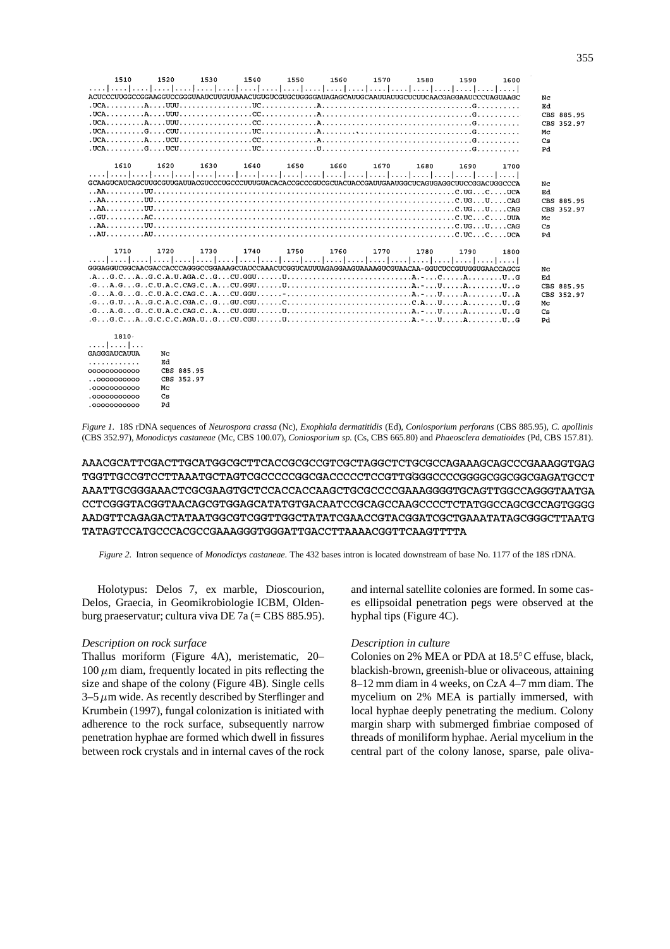| 1510<br>[ينتظر المتحل المتحل المتحل المتحل المتحل المتحل المتحل المتحل المتحل المتحل المتحل المتحل المتحل المتحل المتحل المتحل<br>ACUCCCUUGCCGGAAGGUCCGGUAAUCUUGUUAAACUGUGUGAOAGUAAAGCAUAGAGCAUUGCAAUUAUCCLUCUCCAACGAGAGAGAGUAAGCAUAGC<br>$UCA$ $A$ $UUU$    | 1520        | 1530 | 1540 | 1550 | 1560 | 1570 | 1580 | 1590 | 1600 | Nc<br>Ed<br>Mc<br>Cs<br>Pd | CBS 885.95<br>CBS 352.97 |
|--------------------------------------------------------------------------------------------------------------------------------------------------------------------------------------------------------------------------------------------------------------|-------------|------|------|------|------|------|------|------|------|----------------------------|--------------------------|
| 1610<br>المتما وممار وممارسته المتمار ومتعارضت المتمار ومتعارضت المتمار ومحاربته المتما ومتعارضه المتمار ومحاربته<br>GCAAGUCAUCAGCUUGCGUUGAUUACGUCCCUGCCCUUUGUACACACCGCCCGUCGCUACUACCGAUUGAAUGGCUCAGUGAGGCUUCCGGACUGGCCCA                                    | 1620        | 1630 | 1640 | 1650 | 1660 | 1670 | 1680 | 1690 | 1700 | Nc<br>Ed<br>Mc<br>Cs<br>Pd | CBS 885.95<br>CBS 352.97 |
| 1710<br>المتما ومواجبها ومواجبها ومواجبها والمواجب المتواجب المتواجب والمتواجب المتواجب المتواجب المتواجب<br>GGGAGGUCGGCAACGACCACCCAGGCCGGAAAGCUAUCCAAACUCGGUCAUUUAGAGGAAGUAAAAGUCGUAACAA-GGUCUCCGUUGGUGAACCAGCG<br>1810.<br>.    <br><b>GAGGGAILCALILLA</b> | 1720<br>No. | 1730 | 1740 | 1750 | 1760 | 1770 | 1780 | 1790 | 1800 | Nc<br>Ed<br>Mc<br>Cs<br>Pd | CBS 885.95<br>CBS 352.97 |

| GAGGGAUCAUUA | Nc         |  |
|--------------|------------|--|
| .            | Ed         |  |
| 000000000000 | CBS 885.95 |  |
| 0.0000000000 | CBS 352.97 |  |
| .0000000000  | Mc.        |  |
| .00000000000 | Cя         |  |
| .00000000000 | ÞЯ         |  |

*Figure 1*. 18S rDNA sequences of *Neurospora crassa* (Nc), *Exophiala dermatitidis* (Ed), *Coniosporium perforans* (CBS 885.95), *C. apollinis* (CBS 352.97), *Monodictys castaneae* (Mc, CBS 100.07), *Coniosporium sp.* (Cs, CBS 665.80) and *Phaeosclera dematioides* (Pd, CBS 157.81).

AAACGCATTCGACTTGCATGGCGCTTCACCGCGCCGTCGCTAGGCTCTGCGCAGAAAGCAGCCCGAAAGGTGAG TGGTTGCCGTCCTTAAATGCTAGTCGCCCCCGGCGACCCCCTCCGTTGGGGCCCCGGGGCGGCGAGATGCCT AAATTGCGGGAAACTCGCAAGTGCTCCACCACACACODCCCCGAAAGGGGTGCAGCTCAGCAGGGTAATGA AADGTTCAGAGACTATATATGGCGTCGGTTGGCTATATCGAACCGTACGGATCGCTGAAATATAGCGGCTTAATG TATAGTCCATGCCCACGCCGAAAGGGTGGGATTGACCTTAAAACGGTTCAAGTTTTA

*Figure 2*. Intron sequence of *Monodictys castaneae*. The 432 bases intron is located downstream of base No. 1177 of the 18S rDNA.

Holotypus: Delos 7, ex marble, Dioscourion, Delos, Graecia, in Geomikrobiologie ICBM, Oldenburg praeservatur; cultura viva DE 7a (= CBS 885.95).

#### *Description on rock surface*

Thallus moriform (Figure 4A), meristematic, 20– 100  $\mu$ m diam, frequently located in pits reflecting the size and shape of the colony (Figure 4B). Single cells  $3-5 \mu m$  wide. As recently described by Sterflinger and Krumbein (1997), fungal colonization is initiated with adherence to the rock surface, subsequently narrow penetration hyphae are formed which dwell in fissures between rock crystals and in internal caves of the rock and internal satellite colonies are formed. In some cases ellipsoidal penetration pegs were observed at the hyphal tips (Figure 4C).

#### *Description in culture*

Colonies on 2% MEA or PDA at 18.5 C effuse, black, blackish-brown, greenish-blue or olivaceous, attaining 8–12 mm diam in 4 weeks, on CzA 4–7 mm diam. The mycelium on 2% MEA is partially immersed, with local hyphae deeply penetrating the medium. Colony margin sharp with submerged fimbriae composed of threads of moniliform hyphae. Aerial mycelium in the central part of the colony lanose, sparse, pale oliva-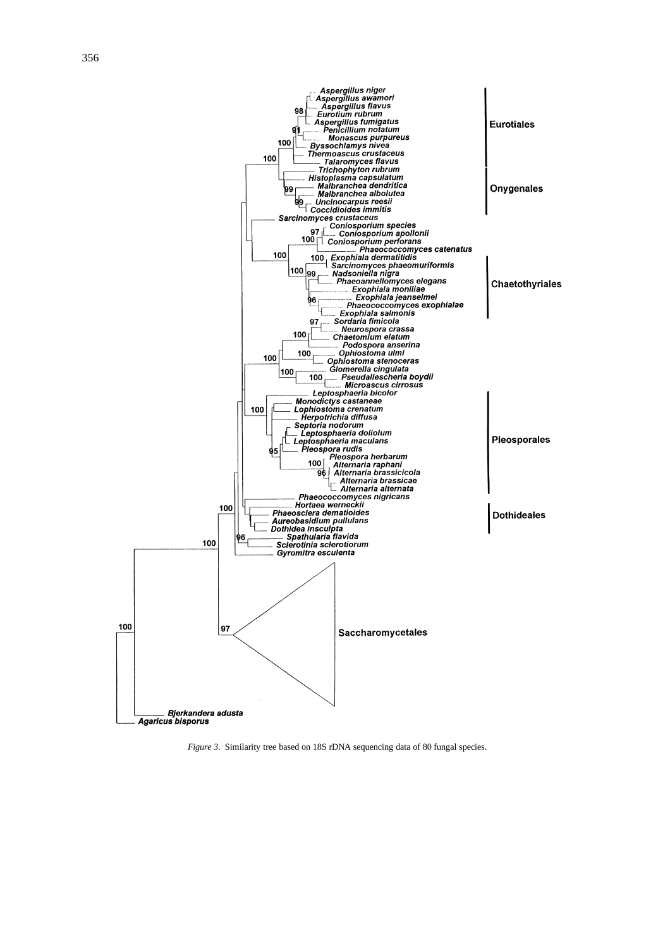

*Figure 3.* Similarity tree based on 18S rDNA sequencing data of 80 fungal species.

**Agaricus bisporus**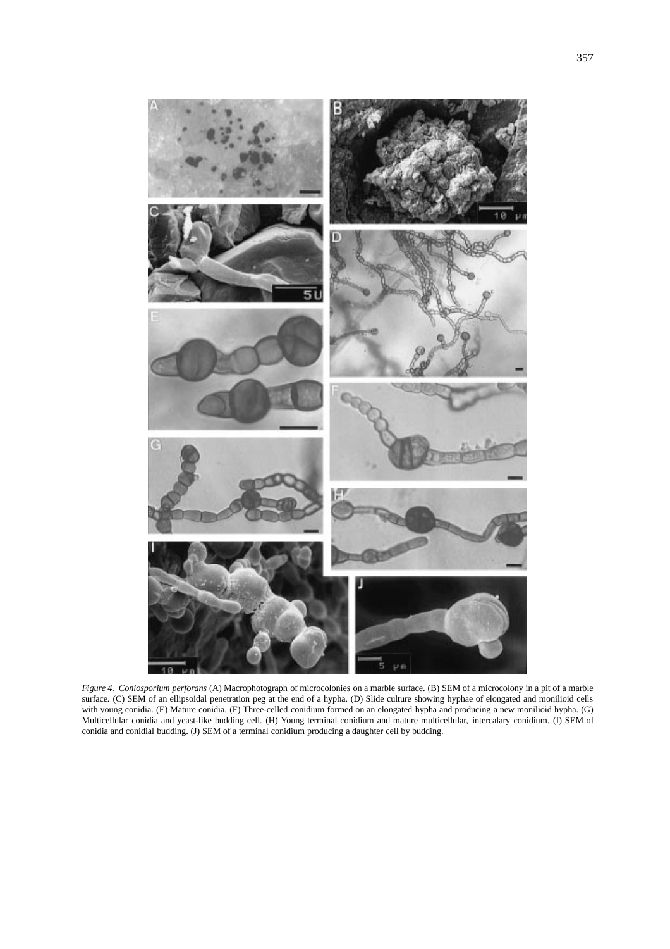

*Figure 4*. *Coniosporium perforans* (A) Macrophotograph of microcolonies on a marble surface. (B) SEM of a microcolony in a pit of a marble surface. (C) SEM of an ellipsoidal penetration peg at the end of a hypha. (D) Slide culture showing hyphae of elongated and monilioid cells with young conidia. (E) Mature conidia. (F) Three-celled conidium formed on an elongated hypha and producing a new monilioid hypha. (G) Multicellular conidia and yeast-like budding cell. (H) Young terminal conidium and mature multicellular, intercalary conidium. (I) SEM of conidia and conidial budding. (J) SEM of a terminal conidium producing a daughter cell by budding.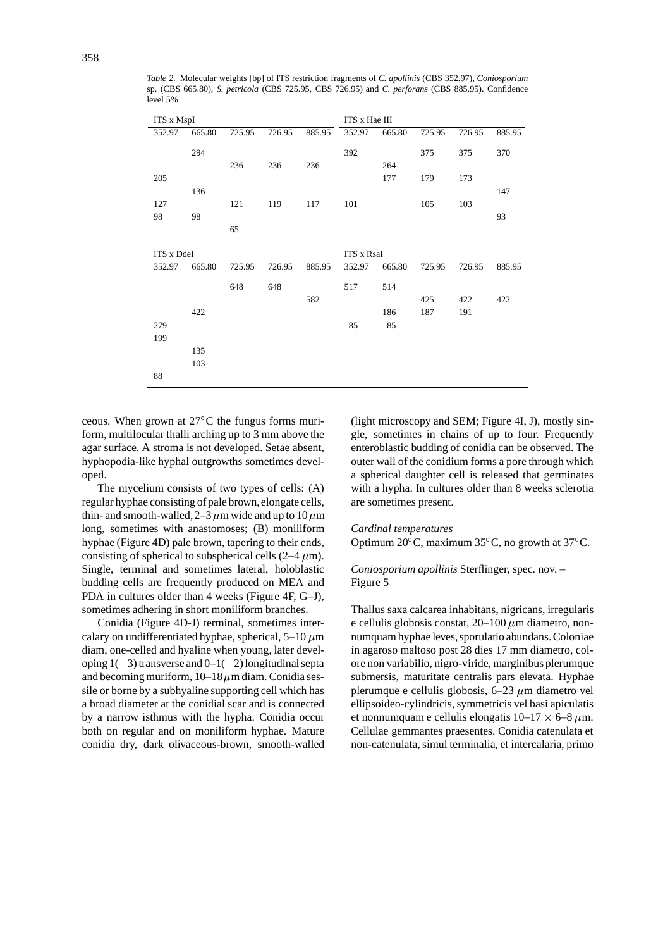| <b>ITS x MspI</b> |        |        |        |        | ITS x Hae III     |        |        |        |        |
|-------------------|--------|--------|--------|--------|-------------------|--------|--------|--------|--------|
| 352.97            | 665.80 | 725.95 | 726.95 | 885.95 | 352.97            | 665.80 | 725.95 | 726.95 | 885.95 |
|                   | 294    |        |        |        | 392               |        | 375    | 375    | 370    |
|                   |        | 236    | 236    | 236    |                   | 264    |        |        |        |
| 205               |        |        |        |        |                   | 177    | 179    | 173    |        |
|                   | 136    |        |        |        |                   |        |        |        | 147    |
| 127               |        | 121    | 119    | 117    | 101               |        | 105    | 103    |        |
| 98                | 98     |        |        |        |                   |        |        |        | 93     |
|                   |        | 65     |        |        |                   |        |        |        |        |
| <b>ITS x DdeI</b> |        |        |        |        | <b>ITS x RsaI</b> |        |        |        |        |
| 352.97            | 665.80 | 725.95 | 726.95 | 885.95 | 352.97            | 665.80 | 725.95 | 726.95 | 885.95 |
|                   |        | 648    | 648    |        | 517               | 514    |        |        |        |
|                   |        |        |        | 582    |                   |        | 425    | 422    | 422    |
|                   | 422    |        |        |        |                   | 186    | 187    | 191    |        |
| 279               |        |        |        |        | 85                | 85     |        |        |        |
| 199               |        |        |        |        |                   |        |        |        |        |
|                   | 135    |        |        |        |                   |        |        |        |        |
|                   | 103    |        |        |        |                   |        |        |        |        |
| 88                |        |        |        |        |                   |        |        |        |        |

*Table 2*. Molecular weights [bp] of ITS restriction fragments of *C. apollinis* (CBS 352.97), *Coniosporium* sp. (CBS 665.80), *S. petricola* (CBS 725.95, CBS 726.95) and *C. perforans* (CBS 885.95). Confidence level 5%

ceous. When grown at 27 C the fungus forms muriform, multilocular thalli arching up to 3 mm above the agar surface. A stroma is not developed. Setae absent, hyphopodia-like hyphal outgrowths sometimes developed.

The mycelium consists of two types of cells: (A) regular hyphae consisting of pale brown, elongate cells, thin- and smooth-walled,  $2-3 \mu m$  wide and up to 10  $\mu$ m long, sometimes with anastomoses; (B) moniliform hyphae (Figure 4D) pale brown, tapering to their ends, consisting of spherical to subspherical cells  $(2-4 \mu m)$ . Single, terminal and sometimes lateral, holoblastic budding cells are frequently produced on MEA and PDA in cultures older than 4 weeks (Figure 4F, G–J), sometimes adhering in short moniliform branches.

Conidia (Figure 4D-J) terminal, sometimes intercalary on undifferentiated hyphae, spherical,  $5-10 \ \mu m$ diam, one-celled and hyaline when young, later developing  $1(-3)$  transverse and  $0-1(-2)$  longitudinal septa and becoming muriform,  $10-18 \mu m$  diam. Conidia sessile or borne by a subhyaline supporting cell which has a broad diameter at the conidial scar and is connected by a narrow isthmus with the hypha. Conidia occur both on regular and on moniliform hyphae. Mature conidia dry, dark olivaceous-brown, smooth-walled (light microscopy and SEM; Figure 4I, J), mostly single, sometimes in chains of up to four. Frequently enteroblastic budding of conidia can be observed. The outer wall of the conidium forms a pore through which a spherical daughter cell is released that germinates with a hypha. In cultures older than 8 weeks sclerotia are sometimes present.

#### *Cardinal temperatures*

Optimum 20 C, maximum 35 C, no growth at 37 C.

# *Coniosporium apollinis* Sterflinger, spec. nov. – Figure 5

Thallus saxa calcarea inhabitans, nigricans, irregularis e cellulis globosis constat,  $20-100 \mu m$  diametro, nonnumquam hyphae leves, sporulatio abundans. Coloniae in agaroso maltoso post 28 dies 17 mm diametro, colore non variabilio, nigro-viride, marginibus plerumque submersis, maturitate centralis pars elevata. Hyphae plerumque e cellulis globosis,  $6-23 \mu$ m diametro vel ellipsoideo-cylindricis, symmetricis vel basi apiculatis et nonnumquam e cellulis elongatis  $10-17 \times 6-8 \mu$ m. Cellulae gemmantes praesentes. Conidia catenulata et non-catenulata, simul terminalia, et intercalaria, primo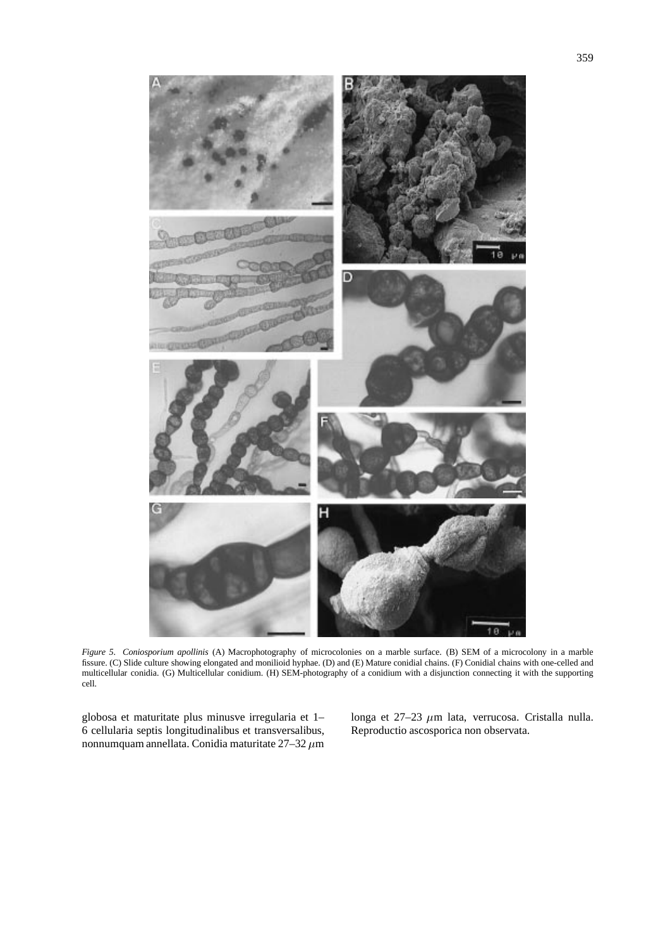

*Figure 5*. *Coniosporium apollinis* (A) Macrophotography of microcolonies on a marble surface. (B) SEM of a microcolony in a marble fissure. (C) Slide culture showing elongated and monilioid hyphae. (D) and (E) Mature conidial chains. (F) Conidial chains with one-celled and multicellular conidia. (G) Multicellular conidium. (H) SEM-photography of a conidium with a disjunction connecting it with the supporting cell.

globosa et maturitate plus minusve irregularia et 1– 6 cellularia septis longitudinalibus et transversalibus, nonnumquam annellata. Conidia maturitate 27–32  $\mu\mathrm{m}$  longa et  $27-23$   $\mu$ m lata, verrucosa. Cristalla nulla. Reproductio ascosporica non observata.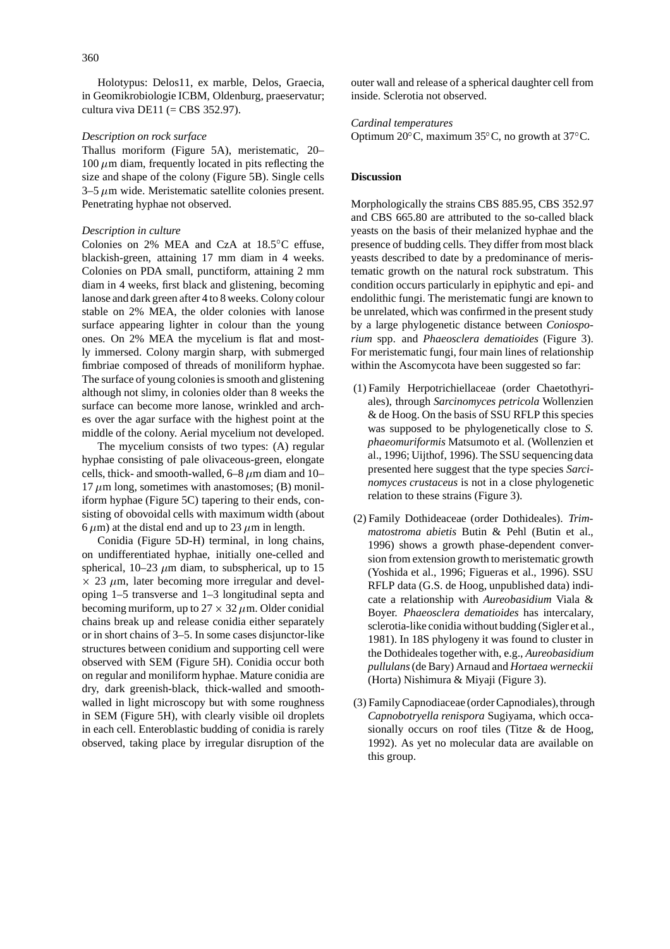Holotypus: Delos11, ex marble, Delos, Graecia, in Geomikrobiologie ICBM, Oldenburg, praeservatur; cultura viva DE11 (= CBS 352.97).

#### *Description on rock surface*

Thallus moriform (Figure 5A), meristematic, 20– 100  $\mu$ m diam, frequently located in pits reflecting the size and shape of the colony (Figure 5B). Single cells  $3-5 \mu m$  wide. Meristematic satellite colonies present. Penetrating hyphae not observed.

#### *Description in culture*

Colonies on 2% MEA and CzA at 18.5 C effuse, blackish-green, attaining 17 mm diam in 4 weeks. Colonies on PDA small, punctiform, attaining 2 mm diam in 4 weeks, first black and glistening, becoming lanose and dark green after 4 to 8 weeks. Colony colour stable on 2% MEA, the older colonies with lanose surface appearing lighter in colour than the young ones. On 2% MEA the mycelium is flat and mostly immersed. Colony margin sharp, with submerged fimbriae composed of threads of moniliform hyphae. The surface of young colonies is smooth and glistening although not slimy, in colonies older than 8 weeks the surface can become more lanose, wrinkled and arches over the agar surface with the highest point at the middle of the colony. Aerial mycelium not developed.

The mycelium consists of two types: (A) regular hyphae consisting of pale olivaceous-green, elongate cells, thick- and smooth-walled,  $6-8$   $\mu$ m diam and 10–  $17 \mu m$  long, sometimes with anastomoses; (B) moniliform hyphae (Figure 5C) tapering to their ends, consisting of obovoidal cells with maximum width (about 6  $\mu$ m) at the distal end and up to 23  $\mu$ m in length.

Conidia (Figure 5D-H) terminal, in long chains, on undifferentiated hyphae, initially one-celled and spherical, 10–23  $\mu$ m diam, to subspherical, up to 15  $\times$  23  $\mu$ m, later becoming more irregular and developing 1–5 transverse and 1–3 longitudinal septa and becoming muriform, up to  $27 \times 32 \mu$ m. Older conidial chains break up and release conidia either separately or in short chains of 3–5. In some cases disjunctor-like structures between conidium and supporting cell were observed with SEM (Figure 5H). Conidia occur both on regular and moniliform hyphae. Mature conidia are dry, dark greenish-black, thick-walled and smoothwalled in light microscopy but with some roughness in SEM (Figure 5H), with clearly visible oil droplets in each cell. Enteroblastic budding of conidia is rarely observed, taking place by irregular disruption of the

outer wall and release of a spherical daughter cell from inside. Sclerotia not observed.

# *Cardinal temperatures*

Optimum 20 C, maximum 35 C, no growth at 37 C.

#### **Discussion**

Morphologically the strains CBS 885.95, CBS 352.97 and CBS 665.80 are attributed to the so-called black yeasts on the basis of their melanized hyphae and the presence of budding cells. They differ from most black yeasts described to date by a predominance of meristematic growth on the natural rock substratum. This condition occurs particularly in epiphytic and epi- and endolithic fungi. The meristematic fungi are known to be unrelated, which was confirmed in the present study by a large phylogenetic distance between *Coniosporium* spp. and *Phaeosclera dematioides* (Figure 3). For meristematic fungi, four main lines of relationship within the Ascomycota have been suggested so far:

- (1) Family Herpotrichiellaceae (order Chaetothyriales), through *Sarcinomyces petricola* Wollenzien & de Hoog. On the basis of SSU RFLP this species was supposed to be phylogenetically close to *S. phaeomuriformis* Matsumoto et al. (Wollenzien et al., 1996; Uijthof, 1996). The SSU sequencing data presented here suggest that the type species *Sarcinomyces crustaceus* is not in a close phylogenetic relation to these strains (Figure 3).
- (2) Family Dothideaceae (order Dothideales). *Trimmatostroma abietis* Butin & Pehl (Butin et al., 1996) shows a growth phase-dependent conversion from extension growth to meristematic growth (Yoshida et al., 1996; Figueras et al., 1996). SSU RFLP data (G.S. de Hoog, unpublished data) indicate a relationship with *Aureobasidium* Viala & Boyer. *Phaeosclera dematioides* has intercalary, sclerotia-like conidia without budding (Sigler et al., 1981). In 18S phylogeny it was found to cluster in the Dothideales together with, e.g., *Aureobasidium pullulans*(de Bary) Arnaud and *Hortaea werneckii* (Horta) Nishimura & Miyaji (Figure 3).
- (3) Family Capnodiaceae (order Capnodiales),through *Capnobotryella renispora* Sugiyama, which occasionally occurs on roof tiles (Titze & de Hoog, 1992). As yet no molecular data are available on this group.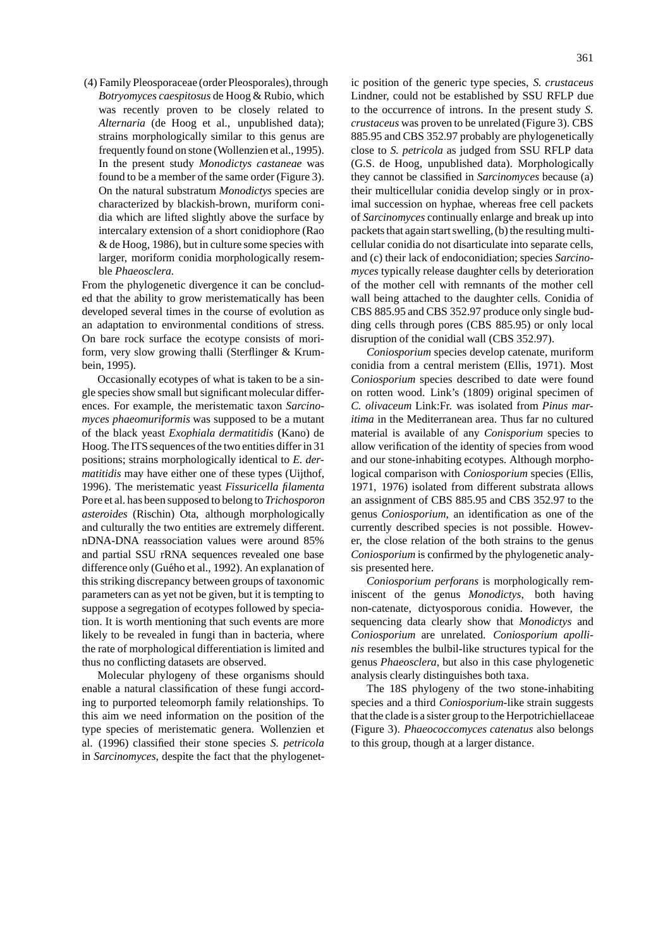(4) Family Pleosporaceae (order Pleosporales),through *Botryomyces caespitosus* de Hoog & Rubio, which was recently proven to be closely related to *Alternaria* (de Hoog et al., unpublished data); strains morphologically similar to this genus are frequently found on stone (Wollenzien et al.,1995). In the present study *Monodictys castaneae* was found to be a member of the same order (Figure 3). On the natural substratum *Monodictys* species are characterized by blackish-brown, muriform conidia which are lifted slightly above the surface by intercalary extension of a short conidiophore (Rao & de Hoog, 1986), but in culture some species with larger, moriform conidia morphologically resemble *Phaeosclera.*

From the phylogenetic divergence it can be concluded that the ability to grow meristematically has been developed several times in the course of evolution as an adaptation to environmental conditions of stress. On bare rock surface the ecotype consists of moriform, very slow growing thalli (Sterflinger & Krumbein, 1995).

Occasionally ecotypes of what is taken to be a single species show small but significant molecular differences. For example, the meristematic taxon *Sarcinomyces phaeomuriformis* was supposed to be a mutant of the black yeast *Exophiala dermatitidis* (Kano) de Hoog. The ITS sequences of the two entities differ in 31 positions; strains morphologically identical to *E. dermatitidis* may have either one of these types (Uijthof, 1996). The meristematic yeast *Fissuricella filamenta* Pore et al. has been supposed to belong to *Trichosporon asteroides* (Rischin) Ota, although morphologically and culturally the two entities are extremely different. nDNA-DNA reassociation values were around 85% and partial SSU rRNA sequences revealed one base difference only (Guého et al., 1992). An explanation of this striking discrepancy between groups of taxonomic parameters can as yet not be given, but it is tempting to suppose a segregation of ecotypes followed by speciation. It is worth mentioning that such events are more likely to be revealed in fungi than in bacteria, where the rate of morphological differentiation is limited and thus no conflicting datasets are observed.

Molecular phylogeny of these organisms should enable a natural classification of these fungi according to purported teleomorph family relationships. To this aim we need information on the position of the type species of meristematic genera. Wollenzien et al. (1996) classified their stone species *S. petricola* in *Sarcinomyces*, despite the fact that the phylogenetLindner, could not be established by SSU RFLP due to the occurrence of introns. In the present study *S. crustaceus* was proven to be unrelated (Figure 3). CBS 885.95 and CBS 352.97 probably are phylogenetically close to *S. petricola* as judged from SSU RFLP data (G.S. de Hoog, unpublished data). Morphologically they cannot be classified in *Sarcinomyces* because (a) their multicellular conidia develop singly or in proximal succession on hyphae, whereas free cell packets of *Sarcinomyces* continually enlarge and break up into packets that again start swelling, (b) the resulting multicellular conidia do not disarticulate into separate cells, and (c) their lack of endoconidiation; species *Sarcinomyces* typically release daughter cells by deterioration of the mother cell with remnants of the mother cell wall being attached to the daughter cells. Conidia of CBS 885.95 and CBS 352.97 produce only single budding cells through pores (CBS 885.95) or only local disruption of the conidial wall (CBS 352.97).

*Coniosporium* species develop catenate, muriform conidia from a central meristem (Ellis, 1971). Most *Coniosporium* species described to date were found on rotten wood. Link's (1809) original specimen of *C. olivaceum* Link:Fr. was isolated from *Pinus maritima* in the Mediterranean area. Thus far no cultured material is available of any *Conisporium* species to allow verification of the identity of species from wood and our stone-inhabiting ecotypes. Although morphological comparison with *Coniosporium* species (Ellis, 1971, 1976) isolated from different substrata allows an assignment of CBS 885.95 and CBS 352.97 to the genus *Coniosporium*, an identification as one of the currently described species is not possible. However, the close relation of the both strains to the genus *Coniosporium* is confirmed by the phylogenetic analysis presented here.

*Coniosporium perforans* is morphologically reminiscent of the genus *Monodictys*, both having non-catenate, dictyosporous conidia. However, the sequencing data clearly show that *Monodictys* and *Coniosporium* are unrelated. *Coniosporium apollinis* resembles the bulbil-like structures typical for the genus *Phaeosclera*, but also in this case phylogenetic analysis clearly distinguishes both taxa.

The 18S phylogeny of the two stone-inhabiting species and a third *Coniosporium*-like strain suggests that the clade is a sister group to the Herpotrichiellaceae (Figure 3). *Phaeococcomyces catenatus* also belongs to this group, though at a larger distance.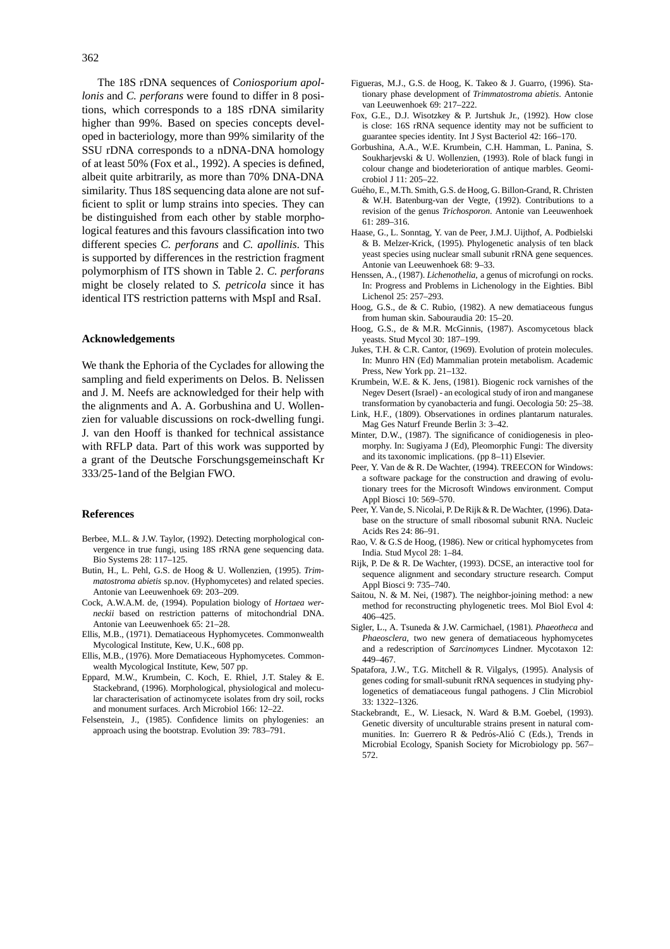The 18S rDNA sequences of *Coniosporium apollonis* and *C. perforans* were found to differ in 8 positions, which corresponds to a 18S rDNA similarity higher than 99%. Based on species concepts developed in bacteriology, more than 99% similarity of the SSU rDNA corresponds to a nDNA-DNA homology of at least 50% (Fox et al., 1992). A species is defined, albeit quite arbitrarily, as more than 70% DNA-DNA similarity. Thus 18S sequencing data alone are not sufficient to split or lump strains into species. They can be distinguished from each other by stable morphological features and this favours classification into two different species *C. perforans* and *C. apollinis*. This is supported by differences in the restriction fragment polymorphism of ITS shown in Table 2. *C. perforans* might be closely related to *S. petricola* since it has identical ITS restriction patterns with MspI and RsaI.

#### **Acknowledgements**

We thank the Ephoria of the Cyclades for allowing the sampling and field experiments on Delos. B. Nelissen and J. M. Neefs are acknowledged for their help with the alignments and A. A. Gorbushina and U. Wollenzien for valuable discussions on rock-dwelling fungi. J. van den Hooff is thanked for technical assistance with RFLP data. Part of this work was supported by a grant of the Deutsche Forschungsgemeinschaft Kr 333/25-1and of the Belgian FWO.

#### **References**

- Berbee, M.L. & J.W. Taylor, (1992). Detecting morphological convergence in true fungi, using 18S rRNA gene sequencing data. Bio Systems 28: 117–125.
- Butin, H., L. Pehl, G.S. de Hoog & U. Wollenzien, (1995). *Trimmatostroma abietis* sp.nov. (Hyphomycetes) and related species. Antonie van Leeuwenhoek 69: 203–209.
- Cock, A.W.A.M. de, (1994). Population biology of *Hortaea werneckii* based on restriction patterns of mitochondrial DNA. Antonie van Leeuwenhoek 65: 21–28.
- Ellis, M.B., (1971). Dematiaceous Hyphomycetes. Commonwealth Mycological Institute, Kew, U.K., 608 pp.
- Ellis, M.B., (1976). More Dematiaceous Hyphomycetes. Commonwealth Mycological Institute, Kew, 507 pp.
- Eppard, M.W., Krumbein, C. Koch, E. Rhiel, J.T. Staley & E. Stackebrand, (1996). Morphological, physiological and molecular characterisation of actinomycete isolates from dry soil, rocks and monument surfaces. Arch Microbiol 166: 12–22.
- Felsenstein, J., (1985). Confidence limits on phylogenies: an approach using the bootstrap. Evolution 39: 783–791.
- Figueras, M.J., G.S. de Hoog, K. Takeo & J. Guarro, (1996). Stationary phase development of *Trimmatostroma abietis*. Antonie van Leeuwenhoek 69: 217–222.
- Fox, G.E., D.J. Wisotzkey & P. Jurtshuk Jr., (1992). How close is close: 16S rRNA sequence identity may not be sufficient to guarantee species identity. Int J Syst Bacteriol 42: 166–170.
- Gorbushina, A.A., W.E. Krumbein, C.H. Hamman, L. Panina, S. Soukharjevski & U. Wollenzien, (1993). Role of black fungi in colour change and biodeterioration of antique marbles. Geomicrobiol J 11: 205–22.
- Gueho, E., M.Th. Smith, G.S. de Hoog, G. Billon-Grand, R. Christen ´ & W.H. Batenburg-van der Vegte, (1992). Contributions to a revision of the genus *Trichosporon*. Antonie van Leeuwenhoek 61: 289–316.
- Haase, G., L. Sonntag, Y. van de Peer, J.M.J. Uijthof, A. Podbielski & B. Melzer-Krick, (1995). Phylogenetic analysis of ten black yeast species using nuclear small subunit rRNA gene sequences. Antonie van Leeuwenhoek 68: 9–33.
- Henssen, A., (1987). *Lichenothelia*, a genus of microfungi on rocks. In: Progress and Problems in Lichenology in the Eighties. Bibl Lichenol 25: 257–293.
- Hoog, G.S., de & C. Rubio, (1982). A new dematiaceous fungus from human skin. Sabouraudia 20: 15–20.
- Hoog, G.S., de & M.R. McGinnis, (1987). Ascomycetous black yeasts. Stud Mycol 30: 187–199.
- Jukes, T.H. & C.R. Cantor, (1969). Evolution of protein molecules. In: Munro HN (Ed) Mammalian protein metabolism. Academic Press, New York pp. 21–132.
- Krumbein, W.E. & K. Jens, (1981). Biogenic rock varnishes of the Negev Desert (Israel) - an ecological study of iron and manganese transformation by cyanobacteria and fungi. Oecologia 50: 25–38.
- Link, H.F., (1809). Observationes in ordines plantarum naturales. Mag Ges Naturf Freunde Berlin 3: 3–42.
- Minter, D.W., (1987). The significance of conidiogenesis in pleomorphy. In: Sugiyama J (Ed), Pleomorphic Fungi: The diversity and its taxonomic implications. (pp 8–11) Elsevier.
- Peer, Y. Van de & R. De Wachter, (1994). TREECON for Windows: a software package for the construction and drawing of evolutionary trees for the Microsoft Windows environment. Comput Appl Biosci 10: 569–570.
- Peer, Y. Van de, S. Nicolai, P. De Rijk & R. De Wachter, (1996). Database on the structure of small ribosomal subunit RNA. Nucleic Acids Res 24: 86–91.
- Rao, V. & G.S de Hoog, (1986). New or critical hyphomycetes from India. Stud Mycol 28: 1–84.
- Rijk, P. De & R. De Wachter, (1993). DCSE, an interactive tool for sequence alignment and secondary structure research. Comput Appl Biosci 9: 735–740.
- Saitou, N. & M. Nei, (1987). The neighbor-joining method: a new method for reconstructing phylogenetic trees. Mol Biol Evol 4: 406–425.
- Sigler, L., A. Tsuneda & J.W. Carmichael, (1981). *Phaeotheca* and *Phaeosclera*, two new genera of dematiaceous hyphomycetes and a redescription of *Sarcinomyces* Lindner. Mycotaxon 12: 449–467.
- Spatafora, J.W., T.G. Mitchell & R. Vilgalys, (1995). Analysis of genes coding for small-subunit rRNA sequences in studying phylogenetics of dematiaceous fungal pathogens. J Clin Microbiol 33: 1322–1326.
- Stackebrandt, E., W. Liesack, N. Ward & B.M. Goebel, (1993). Genetic diversity of unculturable strains present in natural communities. In: Guerrero R & Pedrós-Alió C (Eds.), Trends in Microbial Ecology, Spanish Society for Microbiology pp. 567– 572.